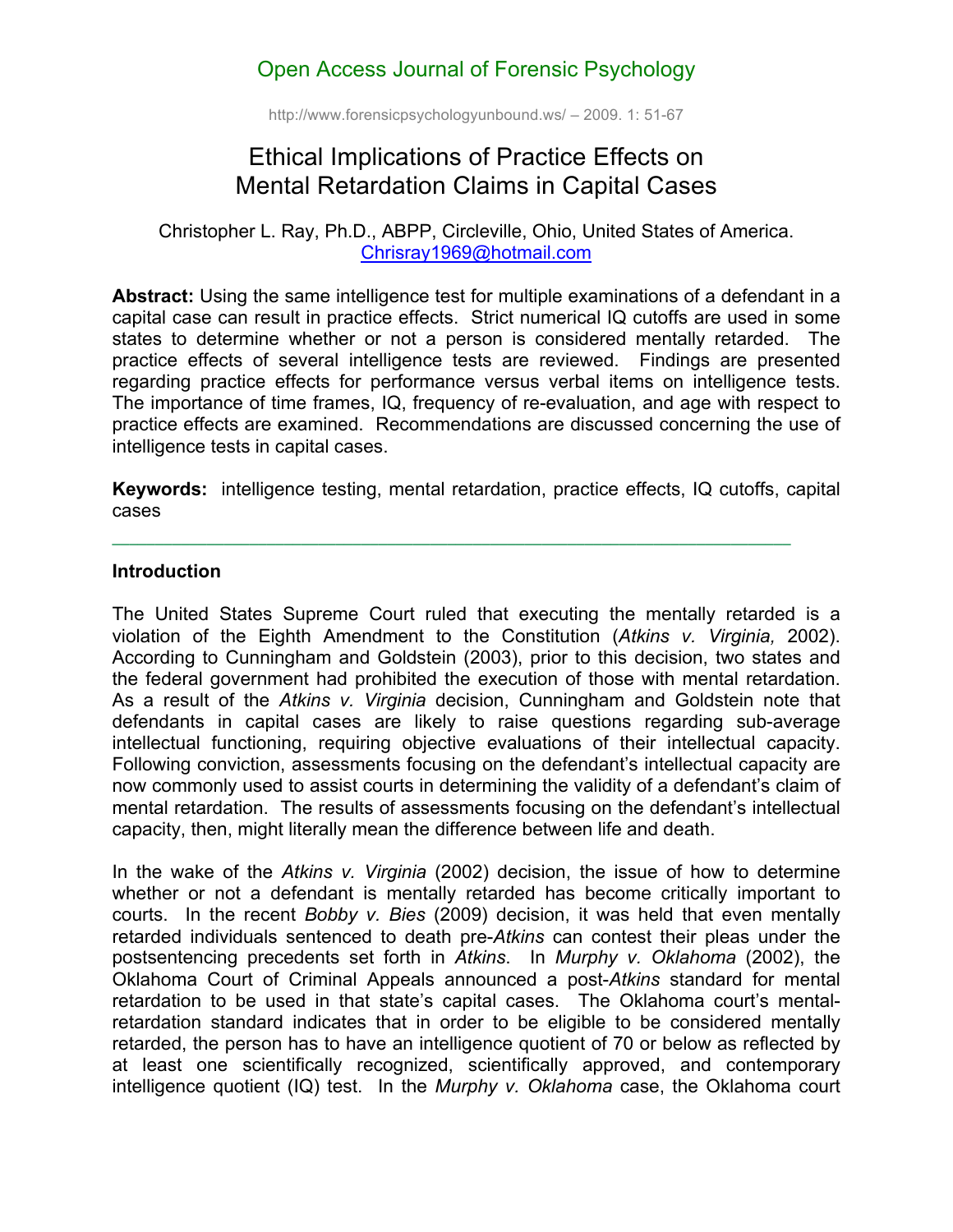## Open Access Journal of Forensic Psychology

http://www.forensicpsychologyunbound.ws/ – 2009. 1: 51-67

# Ethical Implications of Practice Effects on Mental Retardation Claims in Capital Cases

Christopher L. Ray, Ph.D., ABPP, Circleville, Ohio, United States of America. Chrisray1969@hotmail.com

**Abstract:** Using the same intelligence test for multiple examinations of a defendant in a capital case can result in practice effects. Strict numerical IQ cutoffs are used in some states to determine whether or not a person is considered mentally retarded. The practice effects of several intelligence tests are reviewed. Findings are presented regarding practice effects for performance versus verbal items on intelligence tests. The importance of time frames, IQ, frequency of re-evaluation, and age with respect to practice effects are examined. Recommendations are discussed concerning the use of intelligence tests in capital cases.

**Keywords:** intelligence testing, mental retardation, practice effects, IQ cutoffs, capital cases

#### **Introduction**

The United States Supreme Court ruled that executing the mentally retarded is a violation of the Eighth Amendment to the Constitution (*Atkins v. Virginia,* 2002). According to Cunningham and Goldstein (2003), prior to this decision, two states and the federal government had prohibited the execution of those with mental retardation. As a result of the *Atkins v. Virginia* decision, Cunningham and Goldstein note that defendants in capital cases are likely to raise questions regarding sub-average intellectual functioning, requiring objective evaluations of their intellectual capacity. Following conviction, assessments focusing on the defendant's intellectual capacity are now commonly used to assist courts in determining the validity of a defendant's claim of mental retardation. The results of assessments focusing on the defendant's intellectual capacity, then, might literally mean the difference between life and death.

In the wake of the *Atkins v. Virginia* (2002) decision, the issue of how to determine whether or not a defendant is mentally retarded has become critically important to courts. In the recent *Bobby v. Bies* (2009) decision, it was held that even mentally retarded individuals sentenced to death pre-*Atkins* can contest their pleas under the postsentencing precedents set forth in *Atkins*. In *Murphy v. Oklahoma* (2002), the Oklahoma Court of Criminal Appeals announced a post-*Atkins* standard for mental retardation to be used in that state's capital cases. The Oklahoma court's mentalretardation standard indicates that in order to be eligible to be considered mentally retarded, the person has to have an intelligence quotient of 70 or below as reflected by at least one scientifically recognized, scientifically approved, and contemporary intelligence quotient (IQ) test. In the *Murphy v. Oklahoma* case, the Oklahoma court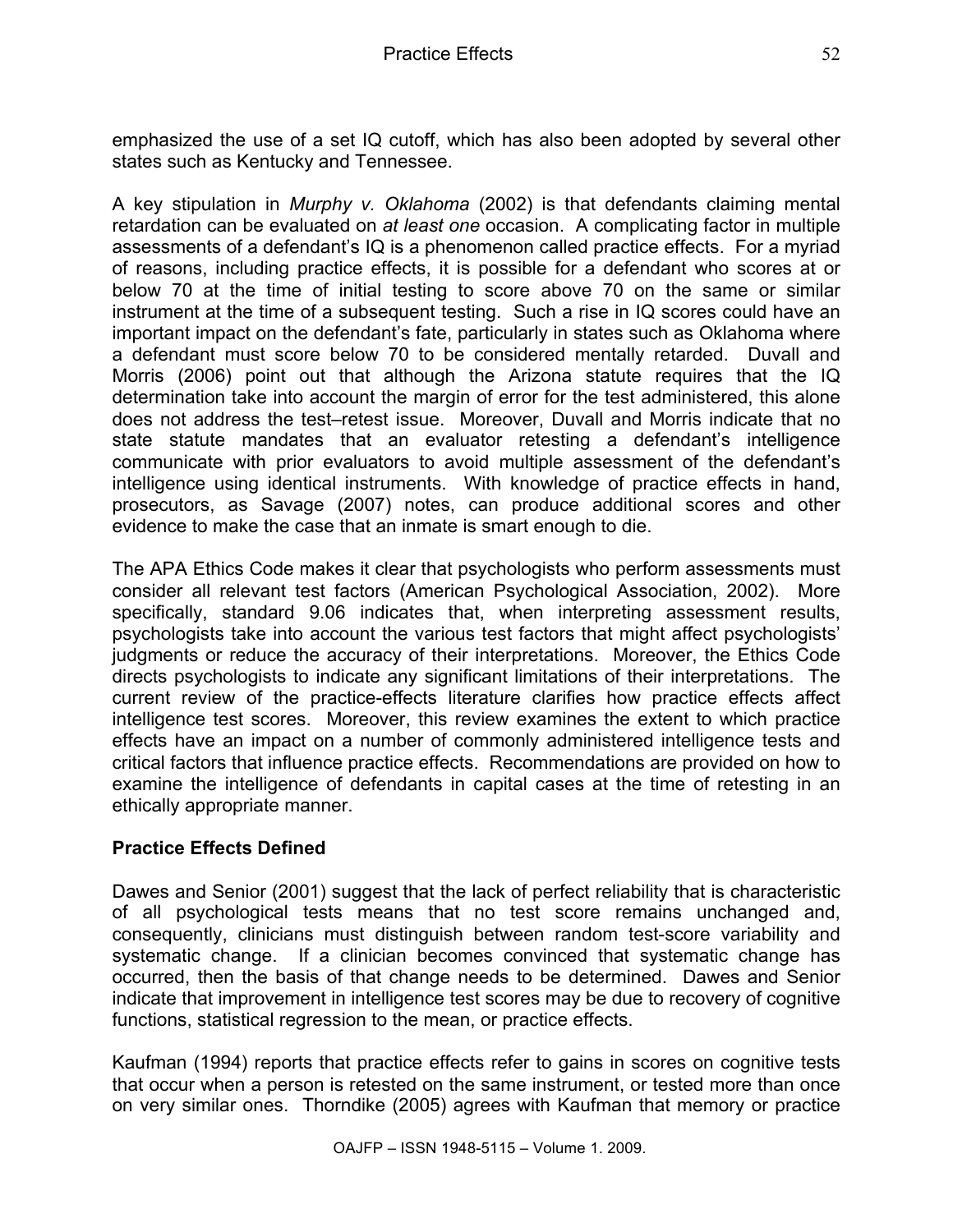emphasized the use of a set IQ cutoff, which has also been adopted by several other states such as Kentucky and Tennessee.

A key stipulation in *Murphy v. Oklahoma* (2002) is that defendants claiming mental retardation can be evaluated on *at least one* occasion. A complicating factor in multiple assessments of a defendant's IQ is a phenomenon called practice effects. For a myriad of reasons, including practice effects, it is possible for a defendant who scores at or below 70 at the time of initial testing to score above 70 on the same or similar instrument at the time of a subsequent testing. Such a rise in IQ scores could have an important impact on the defendant's fate, particularly in states such as Oklahoma where a defendant must score below 70 to be considered mentally retarded. Duvall and Morris (2006) point out that although the Arizona statute requires that the IQ determination take into account the margin of error for the test administered, this alone does not address the test–retest issue. Moreover, Duvall and Morris indicate that no state statute mandates that an evaluator retesting a defendant's intelligence communicate with prior evaluators to avoid multiple assessment of the defendant's intelligence using identical instruments. With knowledge of practice effects in hand, prosecutors, as Savage (2007) notes, can produce additional scores and other evidence to make the case that an inmate is smart enough to die.

The APA Ethics Code makes it clear that psychologists who perform assessments must consider all relevant test factors (American Psychological Association, 2002). More specifically, standard 9.06 indicates that, when interpreting assessment results, psychologists take into account the various test factors that might affect psychologists' judgments or reduce the accuracy of their interpretations. Moreover, the Ethics Code directs psychologists to indicate any significant limitations of their interpretations. The current review of the practice-effects literature clarifies how practice effects affect intelligence test scores. Moreover, this review examines the extent to which practice effects have an impact on a number of commonly administered intelligence tests and critical factors that influence practice effects. Recommendations are provided on how to examine the intelligence of defendants in capital cases at the time of retesting in an ethically appropriate manner.

## **Practice Effects Defined**

Dawes and Senior (2001) suggest that the lack of perfect reliability that is characteristic of all psychological tests means that no test score remains unchanged and, consequently, clinicians must distinguish between random test-score variability and systematic change. If a clinician becomes convinced that systematic change has occurred, then the basis of that change needs to be determined. Dawes and Senior indicate that improvement in intelligence test scores may be due to recovery of cognitive functions, statistical regression to the mean, or practice effects.

Kaufman (1994) reports that practice effects refer to gains in scores on cognitive tests that occur when a person is retested on the same instrument, or tested more than once on very similar ones. Thorndike (2005) agrees with Kaufman that memory or practice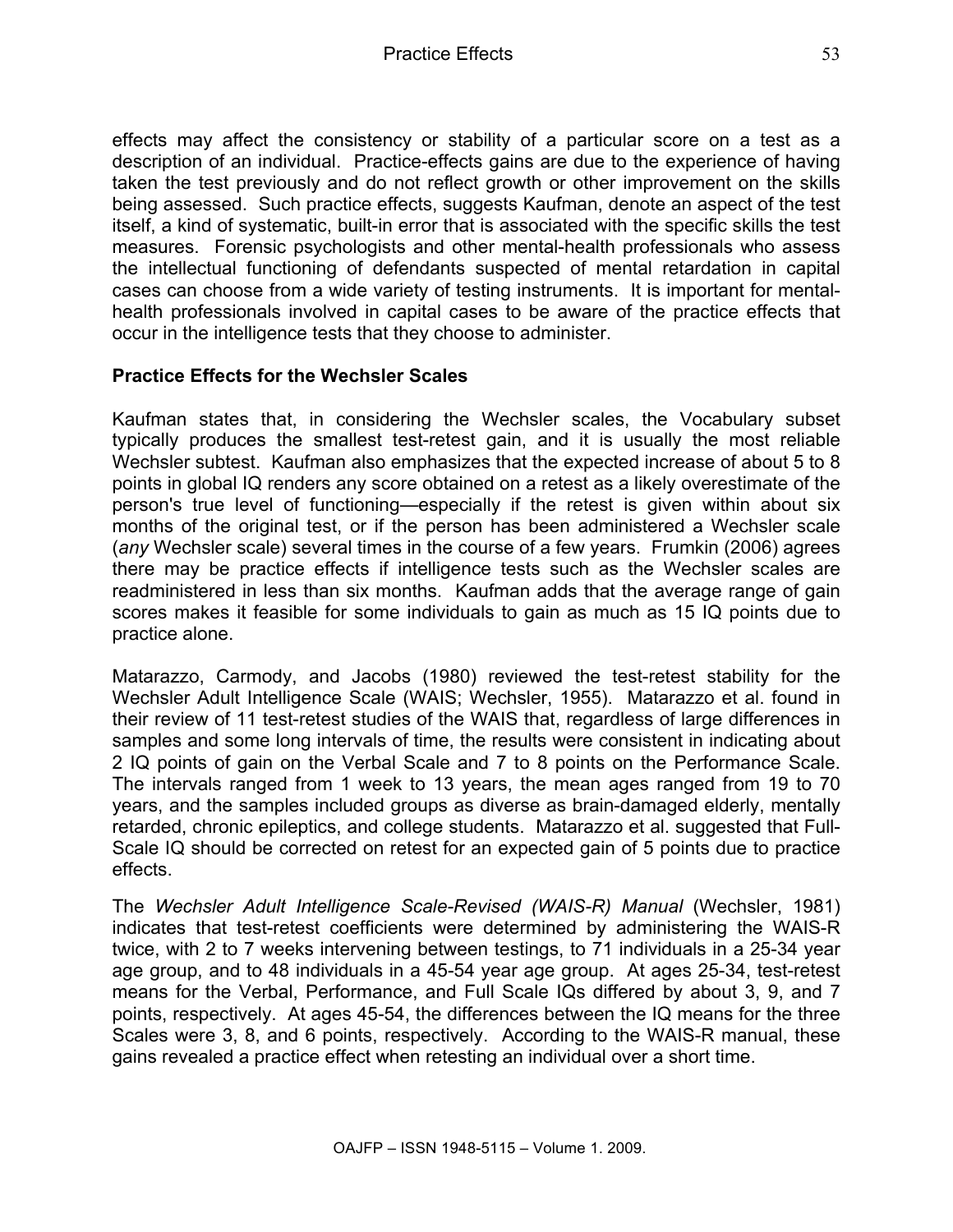effects may affect the consistency or stability of a particular score on a test as a description of an individual. Practice-effects gains are due to the experience of having taken the test previously and do not reflect growth or other improvement on the skills being assessed. Such practice effects, suggests Kaufman, denote an aspect of the test itself, a kind of systematic, built-in error that is associated with the specific skills the test measures. Forensic psychologists and other mental-health professionals who assess the intellectual functioning of defendants suspected of mental retardation in capital cases can choose from a wide variety of testing instruments. It is important for mentalhealth professionals involved in capital cases to be aware of the practice effects that occur in the intelligence tests that they choose to administer.

#### **Practice Effects for the Wechsler Scales**

Kaufman states that, in considering the Wechsler scales, the Vocabulary subset typically produces the smallest test-retest gain, and it is usually the most reliable Wechsler subtest. Kaufman also emphasizes that the expected increase of about 5 to 8 points in global IQ renders any score obtained on a retest as a likely overestimate of the person's true level of functioning—especially if the retest is given within about six months of the original test, or if the person has been administered a Wechsler scale (*any* Wechsler scale) several times in the course of a few years. Frumkin (2006) agrees there may be practice effects if intelligence tests such as the Wechsler scales are readministered in less than six months. Kaufman adds that the average range of gain scores makes it feasible for some individuals to gain as much as 15 IQ points due to practice alone.

Matarazzo, Carmody, and Jacobs (1980) reviewed the test-retest stability for the Wechsler Adult Intelligence Scale (WAIS; Wechsler, 1955). Matarazzo et al. found in their review of 11 test-retest studies of the WAIS that, regardless of large differences in samples and some long intervals of time, the results were consistent in indicating about 2 IQ points of gain on the Verbal Scale and 7 to 8 points on the Performance Scale. The intervals ranged from 1 week to 13 years, the mean ages ranged from 19 to 70 years, and the samples included groups as diverse as brain-damaged elderly, mentally retarded, chronic epileptics, and college students. Matarazzo et al. suggested that Full-Scale IQ should be corrected on retest for an expected gain of 5 points due to practice effects.

The *Wechsler Adult Intelligence Scale-Revised (WAIS-R) Manual* (Wechsler, 1981) indicates that test-retest coefficients were determined by administering the WAIS-R twice, with 2 to 7 weeks intervening between testings, to 71 individuals in a 25-34 year age group, and to 48 individuals in a 45-54 year age group. At ages 25-34, test-retest means for the Verbal, Performance, and Full Scale IQs differed by about 3, 9, and 7 points, respectively. At ages 45-54, the differences between the IQ means for the three Scales were 3, 8, and 6 points, respectively. According to the WAIS-R manual, these gains revealed a practice effect when retesting an individual over a short time.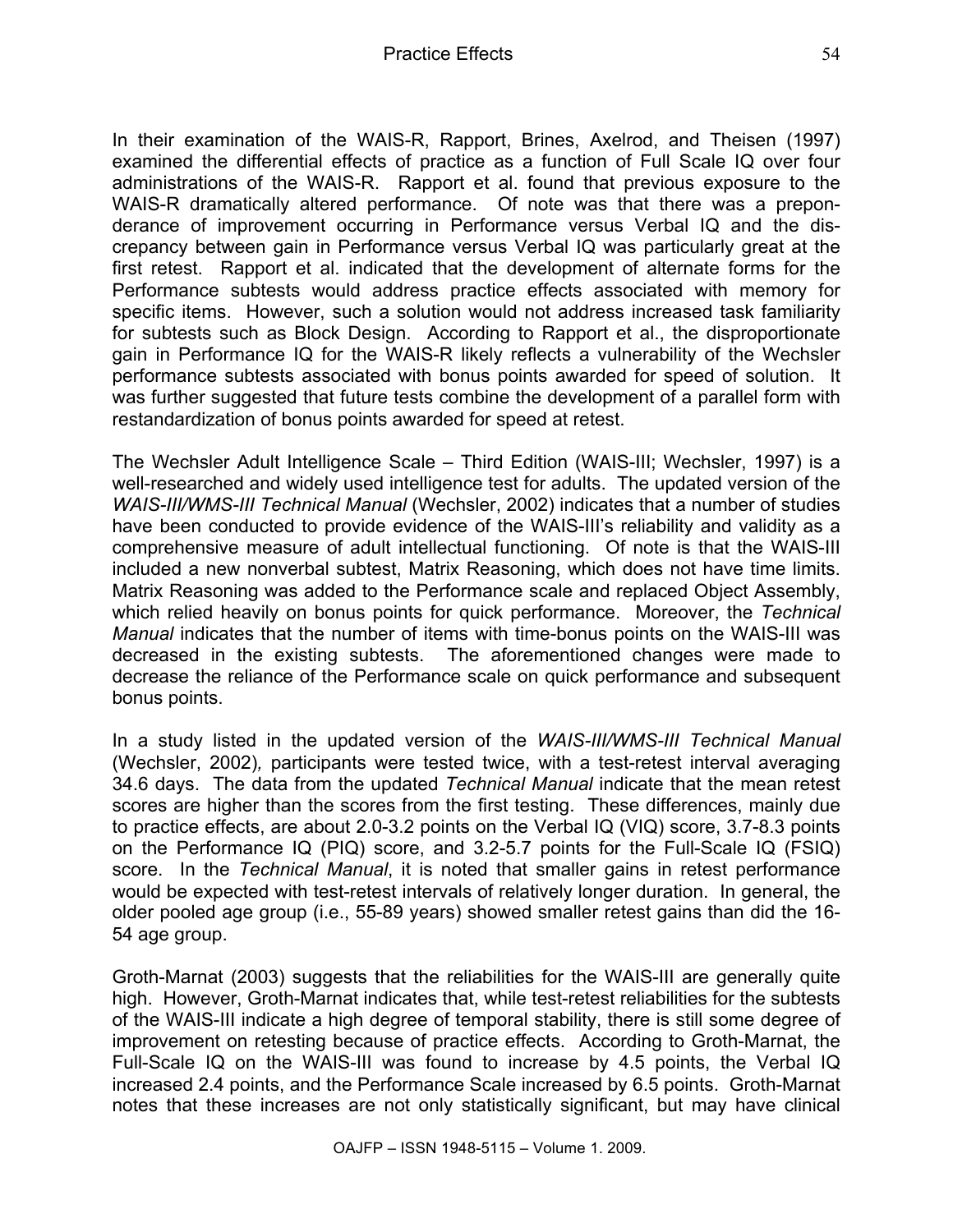In their examination of the WAIS-R, Rapport, Brines, Axelrod, and Theisen (1997) examined the differential effects of practice as a function of Full Scale IQ over four administrations of the WAIS-R. Rapport et al. found that previous exposure to the WAIS-R dramatically altered performance. Of note was that there was a preponderance of improvement occurring in Performance versus Verbal IQ and the discrepancy between gain in Performance versus Verbal IQ was particularly great at the first retest. Rapport et al. indicated that the development of alternate forms for the Performance subtests would address practice effects associated with memory for specific items. However, such a solution would not address increased task familiarity for subtests such as Block Design. According to Rapport et al., the disproportionate gain in Performance IQ for the WAIS-R likely reflects a vulnerability of the Wechsler performance subtests associated with bonus points awarded for speed of solution. It was further suggested that future tests combine the development of a parallel form with restandardization of bonus points awarded for speed at retest.

The Wechsler Adult Intelligence Scale – Third Edition (WAIS-III; Wechsler, 1997) is a well-researched and widely used intelligence test for adults. The updated version of the *WAIS-III/WMS-III Technical Manual* (Wechsler, 2002) indicates that a number of studies have been conducted to provide evidence of the WAIS-III's reliability and validity as a comprehensive measure of adult intellectual functioning. Of note is that the WAIS-III included a new nonverbal subtest, Matrix Reasoning, which does not have time limits. Matrix Reasoning was added to the Performance scale and replaced Object Assembly, which relied heavily on bonus points for quick performance. Moreover, the *Technical Manual* indicates that the number of items with time-bonus points on the WAIS-III was decreased in the existing subtests. The aforementioned changes were made to decrease the reliance of the Performance scale on quick performance and subsequent bonus points.

In a study listed in the updated version of the *WAIS-III/WMS-III Technical Manual*  (Wechsler, 2002)*,* participants were tested twice, with a test-retest interval averaging 34.6 days. The data from the updated *Technical Manual* indicate that the mean retest scores are higher than the scores from the first testing. These differences, mainly due to practice effects, are about 2.0-3.2 points on the Verbal IQ (VIQ) score, 3.7-8.3 points on the Performance IQ (PIQ) score, and 3.2-5.7 points for the Full-Scale IQ (FSIQ) score. In the *Technical Manual*, it is noted that smaller gains in retest performance would be expected with test-retest intervals of relatively longer duration. In general, the older pooled age group (i.e., 55-89 years) showed smaller retest gains than did the 16- 54 age group.

Groth-Marnat (2003) suggests that the reliabilities for the WAIS-III are generally quite high. However, Groth-Marnat indicates that, while test-retest reliabilities for the subtests of the WAIS-III indicate a high degree of temporal stability, there is still some degree of improvement on retesting because of practice effects. According to Groth-Marnat, the Full-Scale IQ on the WAIS-III was found to increase by 4.5 points, the Verbal IQ increased 2.4 points, and the Performance Scale increased by 6.5 points. Groth-Marnat notes that these increases are not only statistically significant, but may have clinical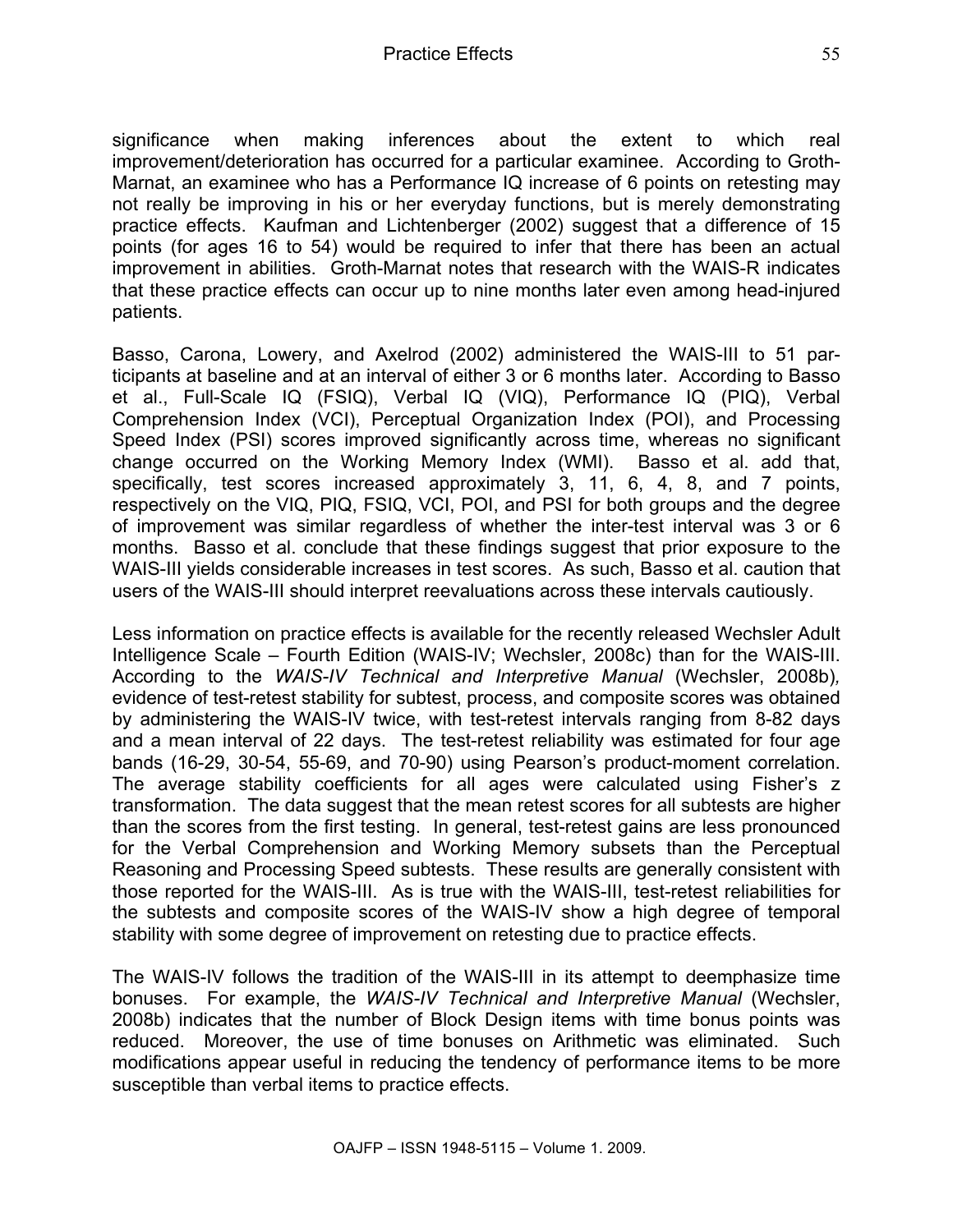significance when making inferences about the extent to which real improvement/deterioration has occurred for a particular examinee. According to Groth-Marnat, an examinee who has a Performance IQ increase of 6 points on retesting may not really be improving in his or her everyday functions, but is merely demonstrating practice effects. Kaufman and Lichtenberger (2002) suggest that a difference of 15 points (for ages 16 to 54) would be required to infer that there has been an actual improvement in abilities. Groth-Marnat notes that research with the WAIS-R indicates that these practice effects can occur up to nine months later even among head-injured patients.

Basso, Carona, Lowery, and Axelrod (2002) administered the WAIS-III to 51 participants at baseline and at an interval of either 3 or 6 months later. According to Basso et al., Full-Scale IQ (FSIQ), Verbal IQ (VIQ), Performance IQ (PIQ), Verbal Comprehension Index (VCI), Perceptual Organization Index (POI), and Processing Speed Index (PSI) scores improved significantly across time, whereas no significant change occurred on the Working Memory Index (WMI). Basso et al. add that, specifically, test scores increased approximately 3, 11, 6, 4, 8, and 7 points, respectively on the VIQ, PIQ, FSIQ, VCI, POI, and PSI for both groups and the degree of improvement was similar regardless of whether the inter-test interval was 3 or 6 months. Basso et al. conclude that these findings suggest that prior exposure to the WAIS-III yields considerable increases in test scores. As such, Basso et al. caution that users of the WAIS-III should interpret reevaluations across these intervals cautiously.

Less information on practice effects is available for the recently released Wechsler Adult Intelligence Scale – Fourth Edition (WAIS-IV; Wechsler, 2008c) than for the WAIS-III. According to the *WAIS-IV Technical and Interpretive Manual* (Wechsler, 2008b)*,*  evidence of test-retest stability for subtest, process, and composite scores was obtained by administering the WAIS-IV twice, with test-retest intervals ranging from 8-82 days and a mean interval of 22 days. The test-retest reliability was estimated for four age bands (16-29, 30-54, 55-69, and 70-90) using Pearson's product-moment correlation. The average stability coefficients for all ages were calculated using Fisher's z transformation. The data suggest that the mean retest scores for all subtests are higher than the scores from the first testing. In general, test-retest gains are less pronounced for the Verbal Comprehension and Working Memory subsets than the Perceptual Reasoning and Processing Speed subtests. These results are generally consistent with those reported for the WAIS-III. As is true with the WAIS-III, test-retest reliabilities for the subtests and composite scores of the WAIS-IV show a high degree of temporal stability with some degree of improvement on retesting due to practice effects.

The WAIS-IV follows the tradition of the WAIS-III in its attempt to deemphasize time bonuses. For example, the *WAIS-IV Technical and Interpretive Manual* (Wechsler, 2008b) indicates that the number of Block Design items with time bonus points was reduced. Moreover, the use of time bonuses on Arithmetic was eliminated. Such modifications appear useful in reducing the tendency of performance items to be more susceptible than verbal items to practice effects.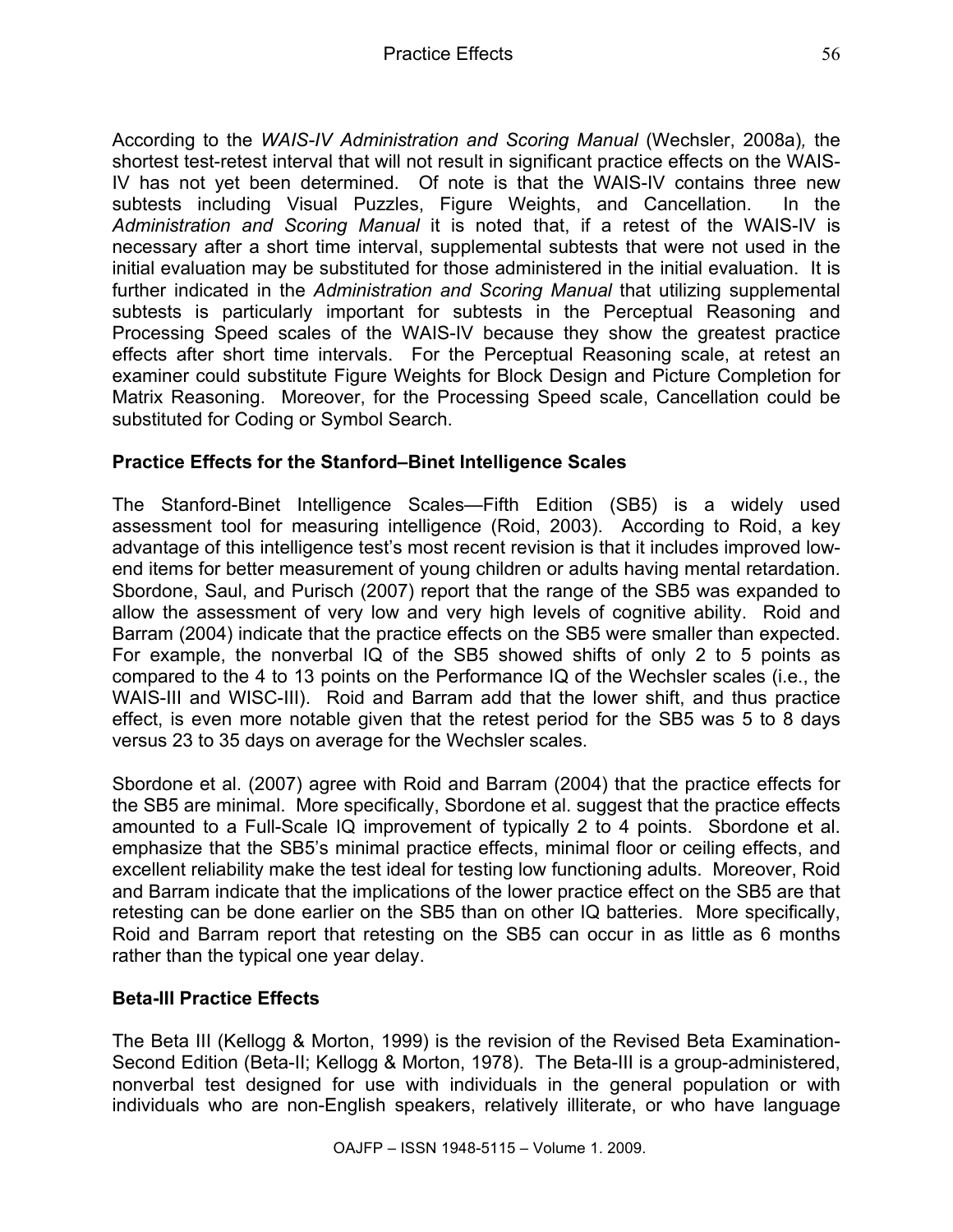According to the *WAIS-IV Administration and Scoring Manual* (Wechsler, 2008a)*,* the shortest test-retest interval that will not result in significant practice effects on the WAIS-IV has not yet been determined. Of note is that the WAIS-IV contains three new subtests including Visual Puzzles, Figure Weights, and Cancellation. In the *Administration and Scoring Manual* it is noted that, if a retest of the WAIS-IV is necessary after a short time interval, supplemental subtests that were not used in the initial evaluation may be substituted for those administered in the initial evaluation. It is further indicated in the *Administration and Scoring Manual* that utilizing supplemental subtests is particularly important for subtests in the Perceptual Reasoning and Processing Speed scales of the WAIS-IV because they show the greatest practice effects after short time intervals. For the Perceptual Reasoning scale, at retest an examiner could substitute Figure Weights for Block Design and Picture Completion for Matrix Reasoning. Moreover, for the Processing Speed scale, Cancellation could be substituted for Coding or Symbol Search.

## **Practice Effects for the Stanford–Binet Intelligence Scales**

The Stanford-Binet Intelligence Scales—Fifth Edition (SB5) is a widely used assessment tool for measuring intelligence (Roid, 2003). According to Roid, a key advantage of this intelligence test's most recent revision is that it includes improved lowend items for better measurement of young children or adults having mental retardation. Sbordone, Saul, and Purisch (2007) report that the range of the SB5 was expanded to allow the assessment of very low and very high levels of cognitive ability. Roid and Barram (2004) indicate that the practice effects on the SB5 were smaller than expected. For example, the nonverbal IQ of the SB5 showed shifts of only 2 to 5 points as compared to the 4 to 13 points on the Performance IQ of the Wechsler scales (i.e., the WAIS-III and WISC-III). Roid and Barram add that the lower shift, and thus practice effect, is even more notable given that the retest period for the SB5 was 5 to 8 days versus 23 to 35 days on average for the Wechsler scales.

Sbordone et al. (2007) agree with Roid and Barram (2004) that the practice effects for the SB5 are minimal. More specifically, Sbordone et al. suggest that the practice effects amounted to a Full-Scale IQ improvement of typically 2 to 4 points. Sbordone et al. emphasize that the SB5's minimal practice effects, minimal floor or ceiling effects, and excellent reliability make the test ideal for testing low functioning adults. Moreover, Roid and Barram indicate that the implications of the lower practice effect on the SB5 are that retesting can be done earlier on the SB5 than on other IQ batteries. More specifically, Roid and Barram report that retesting on the SB5 can occur in as little as 6 months rather than the typical one year delay.

## **Beta-III Practice Effects**

The Beta III (Kellogg & Morton, 1999) is the revision of the Revised Beta Examination-Second Edition (Beta-II; Kellogg & Morton, 1978). The Beta-III is a group-administered, nonverbal test designed for use with individuals in the general population or with individuals who are non-English speakers, relatively illiterate, or who have language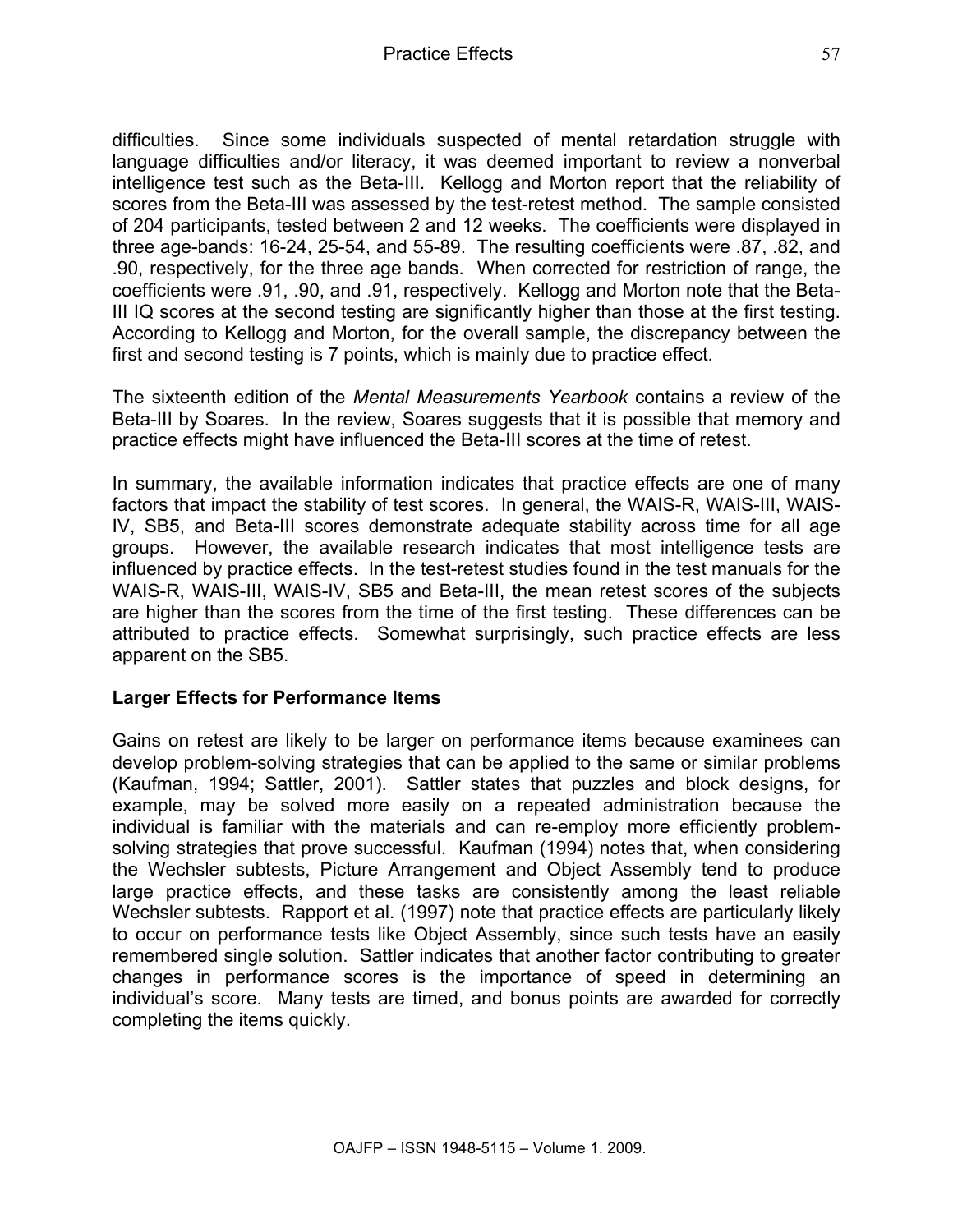difficulties. Since some individuals suspected of mental retardation struggle with language difficulties and/or literacy, it was deemed important to review a nonverbal intelligence test such as the Beta-III. Kellogg and Morton report that the reliability of scores from the Beta-III was assessed by the test-retest method. The sample consisted of 204 participants, tested between 2 and 12 weeks. The coefficients were displayed in three age-bands: 16-24, 25-54, and 55-89. The resulting coefficients were .87, .82, and .90, respectively, for the three age bands. When corrected for restriction of range, the coefficients were .91, .90, and .91, respectively. Kellogg and Morton note that the Beta-III IQ scores at the second testing are significantly higher than those at the first testing. According to Kellogg and Morton, for the overall sample, the discrepancy between the first and second testing is 7 points, which is mainly due to practice effect.

The sixteenth edition of the *Mental Measurements Yearbook* contains a review of the Beta-III by Soares. In the review, Soares suggests that it is possible that memory and practice effects might have influenced the Beta-III scores at the time of retest.

In summary, the available information indicates that practice effects are one of many factors that impact the stability of test scores. In general, the WAIS-R, WAIS-III, WAIS-IV, SB5, and Beta-III scores demonstrate adequate stability across time for all age groups. However, the available research indicates that most intelligence tests are influenced by practice effects. In the test-retest studies found in the test manuals for the WAIS-R, WAIS-III, WAIS-IV, SB5 and Beta-III, the mean retest scores of the subjects are higher than the scores from the time of the first testing. These differences can be attributed to practice effects. Somewhat surprisingly, such practice effects are less apparent on the SB5.

#### **Larger Effects for Performance Items**

Gains on retest are likely to be larger on performance items because examinees can develop problem-solving strategies that can be applied to the same or similar problems (Kaufman, 1994; Sattler, 2001). Sattler states that puzzles and block designs, for example, may be solved more easily on a repeated administration because the individual is familiar with the materials and can re-employ more efficiently problemsolving strategies that prove successful. Kaufman (1994) notes that, when considering the Wechsler subtests, Picture Arrangement and Object Assembly tend to produce large practice effects, and these tasks are consistently among the least reliable Wechsler subtests. Rapport et al. (1997) note that practice effects are particularly likely to occur on performance tests like Object Assembly, since such tests have an easily remembered single solution. Sattler indicates that another factor contributing to greater changes in performance scores is the importance of speed in determining an individual's score. Many tests are timed, and bonus points are awarded for correctly completing the items quickly.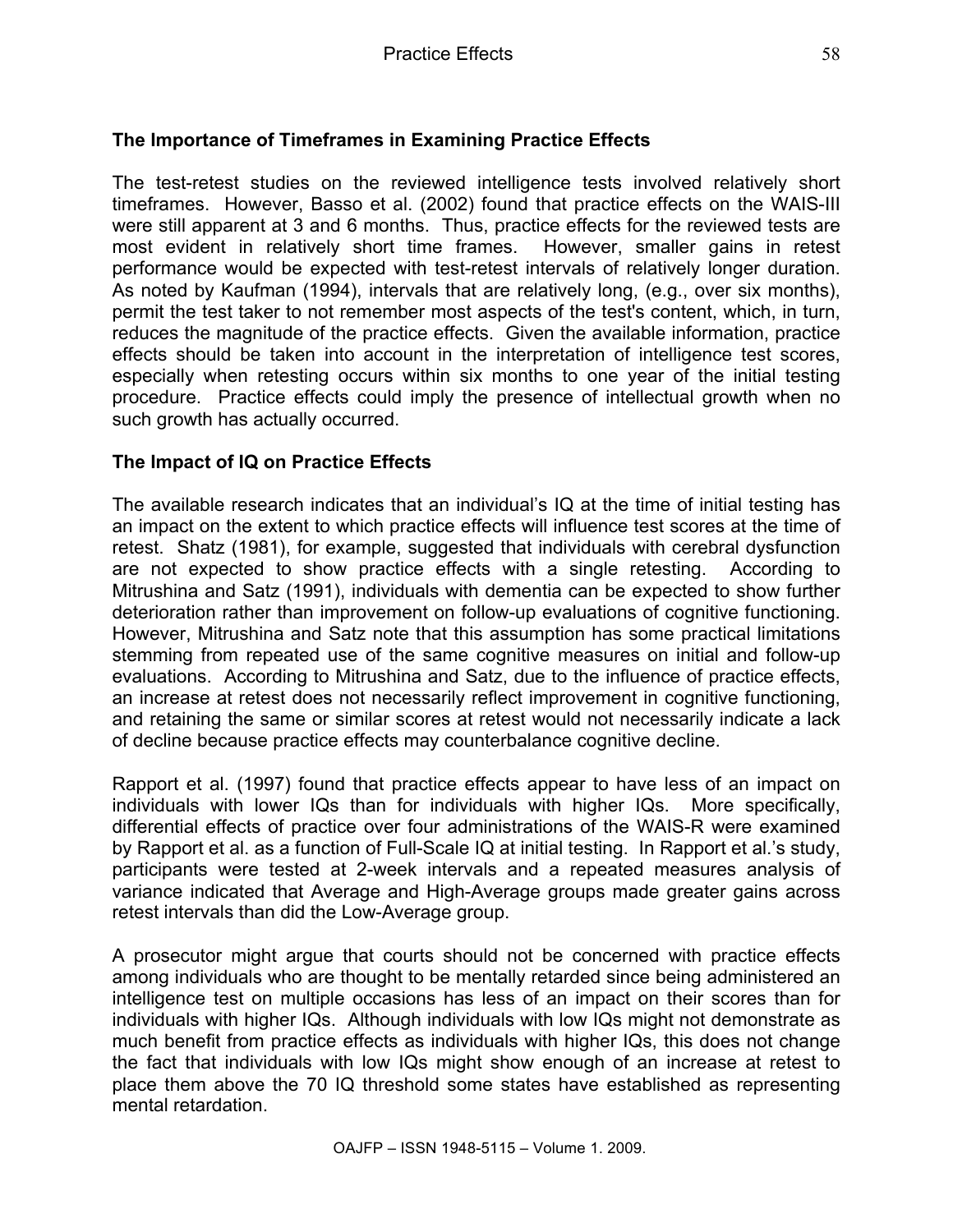## **The Importance of Timeframes in Examining Practice Effects**

The test-retest studies on the reviewed intelligence tests involved relatively short timeframes. However, Basso et al. (2002) found that practice effects on the WAIS-III were still apparent at 3 and 6 months. Thus, practice effects for the reviewed tests are most evident in relatively short time frames. However, smaller gains in retest performance would be expected with test-retest intervals of relatively longer duration. As noted by Kaufman (1994), intervals that are relatively long, (e.g., over six months), permit the test taker to not remember most aspects of the test's content, which, in turn, reduces the magnitude of the practice effects. Given the available information, practice effects should be taken into account in the interpretation of intelligence test scores, especially when retesting occurs within six months to one year of the initial testing procedure. Practice effects could imply the presence of intellectual growth when no such growth has actually occurred.

#### **The Impact of IQ on Practice Effects**

The available research indicates that an individual's IQ at the time of initial testing has an impact on the extent to which practice effects will influence test scores at the time of retest. Shatz (1981), for example, suggested that individuals with cerebral dysfunction are not expected to show practice effects with a single retesting. According to Mitrushina and Satz (1991), individuals with dementia can be expected to show further deterioration rather than improvement on follow-up evaluations of cognitive functioning. However, Mitrushina and Satz note that this assumption has some practical limitations stemming from repeated use of the same cognitive measures on initial and follow-up evaluations. According to Mitrushina and Satz, due to the influence of practice effects, an increase at retest does not necessarily reflect improvement in cognitive functioning, and retaining the same or similar scores at retest would not necessarily indicate a lack of decline because practice effects may counterbalance cognitive decline.

Rapport et al. (1997) found that practice effects appear to have less of an impact on individuals with lower IQs than for individuals with higher IQs. More specifically, differential effects of practice over four administrations of the WAIS-R were examined by Rapport et al. as a function of Full-Scale IQ at initial testing. In Rapport et al.'s study, participants were tested at 2-week intervals and a repeated measures analysis of variance indicated that Average and High-Average groups made greater gains across retest intervals than did the Low-Average group.

A prosecutor might argue that courts should not be concerned with practice effects among individuals who are thought to be mentally retarded since being administered an intelligence test on multiple occasions has less of an impact on their scores than for individuals with higher IQs. Although individuals with low IQs might not demonstrate as much benefit from practice effects as individuals with higher IQs, this does not change the fact that individuals with low IQs might show enough of an increase at retest to place them above the 70 IQ threshold some states have established as representing mental retardation.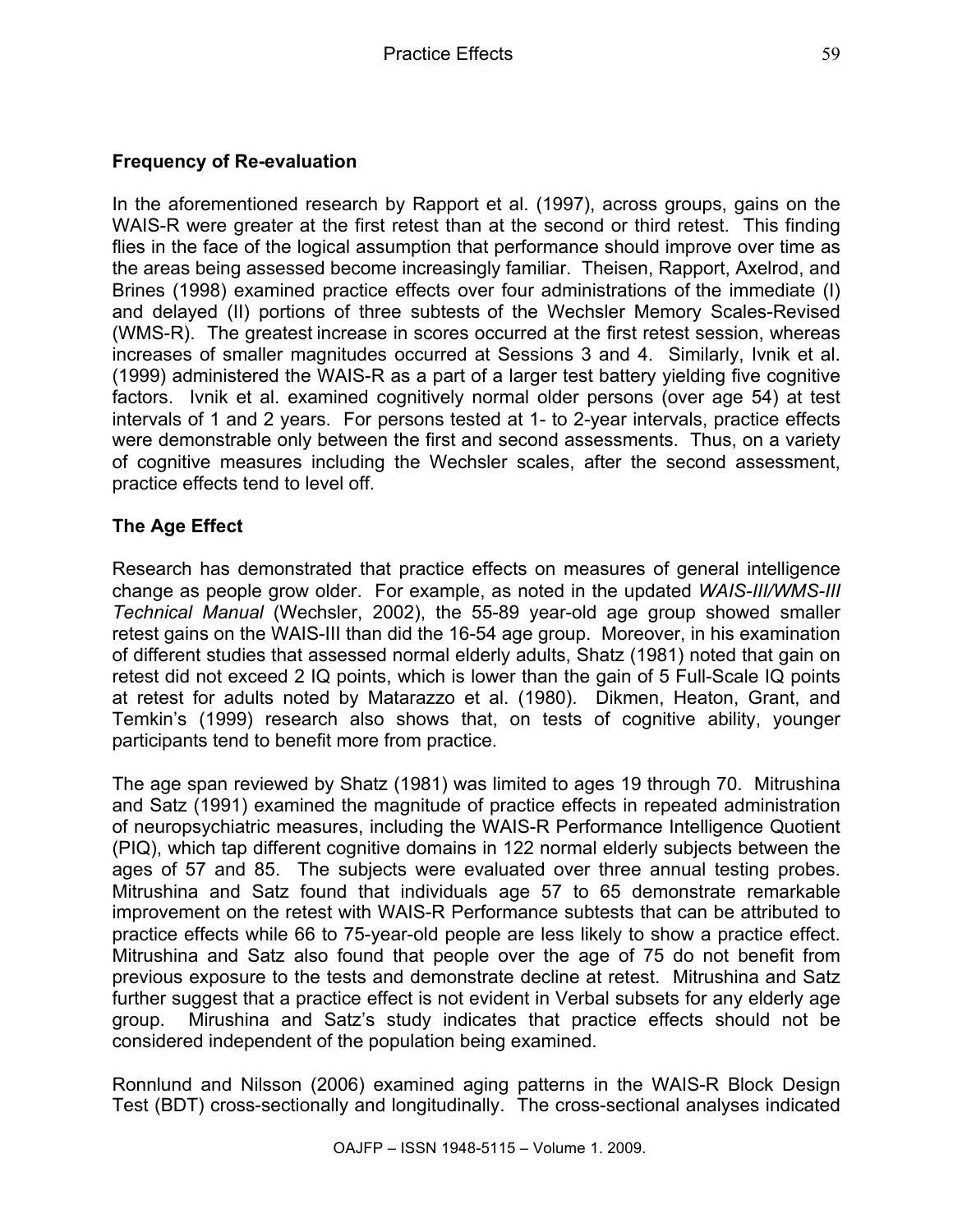## **Frequency of Re-evaluation**

In the aforementioned research by Rapport et al. (1997), across groups, gains on the WAIS-R were greater at the first retest than at the second or third retest. This finding flies in the face of the logical assumption that performance should improve over time as the areas being assessed become increasingly familiar. Theisen, Rapport, Axelrod, and Brines (1998) examined practice effects over four administrations of the immediate (I) and delayed (II) portions of three subtests of the Wechsler Memory Scales-Revised (WMS-R). The greatest increase in scores occurred at the first retest session, whereas increases of smaller magnitudes occurred at Sessions 3 and 4. Similarly, Ivnik et al. (1999) administered the WAIS-R as a part of a larger test battery yielding five cognitive factors. Ivnik et al. examined cognitively normal older persons (over age 54) at test intervals of 1 and 2 years. For persons tested at 1- to 2-year intervals, practice effects were demonstrable only between the first and second assessments. Thus, on a variety of cognitive measures including the Wechsler scales, after the second assessment, practice effects tend to level off.

## **The Age Effect**

Research has demonstrated that practice effects on measures of general intelligence change as people grow older. For example, as noted in the updated *WAIS-III/WMS-III Technical Manual* (Wechsler, 2002), the 55-89 year-old age group showed smaller retest gains on the WAIS-III than did the 16-54 age group. Moreover, in his examination of different studies that assessed normal elderly adults, Shatz (1981) noted that gain on retest did not exceed 2 IQ points, which is lower than the gain of 5 Full-Scale IQ points at retest for adults noted by Matarazzo et al. (1980). Dikmen, Heaton, Grant, and Temkin's (1999) research also shows that, on tests of cognitive ability, younger participants tend to benefit more from practice.

The age span reviewed by Shatz (1981) was limited to ages 19 through 70. Mitrushina and Satz (1991) examined the magnitude of practice effects in repeated administration of neuropsychiatric measures, including the WAIS-R Performance Intelligence Quotient (PIQ), which tap different cognitive domains in 122 normal elderly subjects between the ages of 57 and 85. The subjects were evaluated over three annual testing probes. Mitrushina and Satz found that individuals age 57 to 65 demonstrate remarkable improvement on the retest with WAIS-R Performance subtests that can be attributed to practice effects while 66 to 75-year-old people are less likely to show a practice effect. Mitrushina and Satz also found that people over the age of 75 do not benefit from previous exposure to the tests and demonstrate decline at retest. Mitrushina and Satz further suggest that a practice effect is not evident in Verbal subsets for any elderly age group. Mirushina and Satz's study indicates that practice effects should not be considered independent of the population being examined.

Ronnlund and Nilsson (2006) examined aging patterns in the WAIS-R Block Design Test (BDT) cross-sectionally and longitudinally. The cross-sectional analyses indicated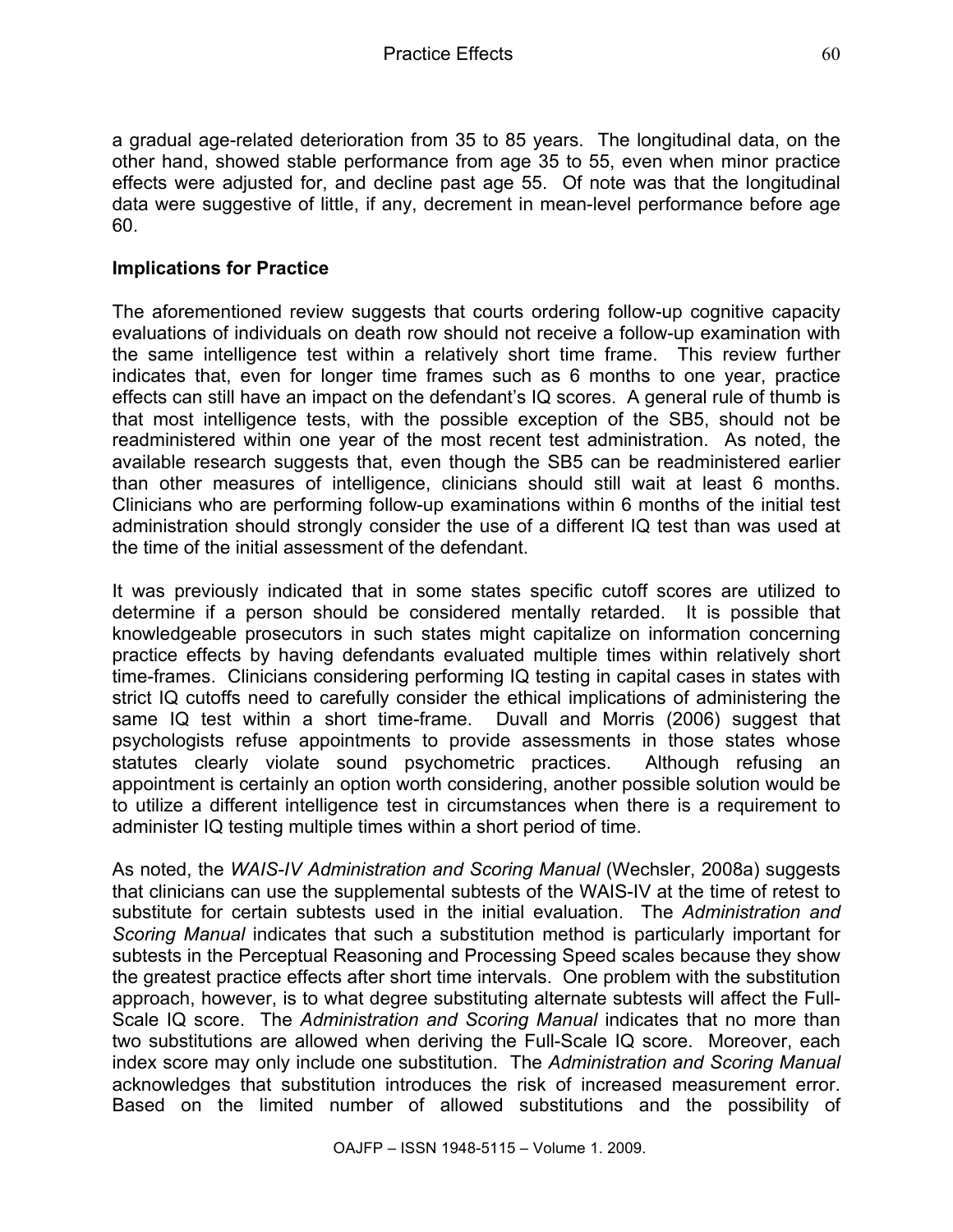a gradual age-related deterioration from 35 to 85 years. The longitudinal data, on the other hand, showed stable performance from age 35 to 55, even when minor practice effects were adjusted for, and decline past age 55. Of note was that the longitudinal data were suggestive of little, if any, decrement in mean-level performance before age 60.

#### **Implications for Practice**

The aforementioned review suggests that courts ordering follow-up cognitive capacity evaluations of individuals on death row should not receive a follow-up examination with the same intelligence test within a relatively short time frame. This review further indicates that, even for longer time frames such as 6 months to one year, practice effects can still have an impact on the defendant's IQ scores. A general rule of thumb is that most intelligence tests, with the possible exception of the SB5, should not be readministered within one year of the most recent test administration. As noted, the available research suggests that, even though the SB5 can be readministered earlier than other measures of intelligence, clinicians should still wait at least 6 months. Clinicians who are performing follow-up examinations within 6 months of the initial test administration should strongly consider the use of a different IQ test than was used at the time of the initial assessment of the defendant.

It was previously indicated that in some states specific cutoff scores are utilized to determine if a person should be considered mentally retarded. It is possible that knowledgeable prosecutors in such states might capitalize on information concerning practice effects by having defendants evaluated multiple times within relatively short time-frames. Clinicians considering performing IQ testing in capital cases in states with strict IQ cutoffs need to carefully consider the ethical implications of administering the same IQ test within a short time-frame. Duvall and Morris (2006) suggest that psychologists refuse appointments to provide assessments in those states whose statutes clearly violate sound psychometric practices. Although refusing an appointment is certainly an option worth considering, another possible solution would be to utilize a different intelligence test in circumstances when there is a requirement to administer IQ testing multiple times within a short period of time.

As noted, the *WAIS-IV Administration and Scoring Manual* (Wechsler, 2008a) suggests that clinicians can use the supplemental subtests of the WAIS-IV at the time of retest to substitute for certain subtests used in the initial evaluation. The *Administration and Scoring Manual* indicates that such a substitution method is particularly important for subtests in the Perceptual Reasoning and Processing Speed scales because they show the greatest practice effects after short time intervals. One problem with the substitution approach, however, is to what degree substituting alternate subtests will affect the Full-Scale IQ score. The *Administration and Scoring Manual* indicates that no more than two substitutions are allowed when deriving the Full-Scale IQ score. Moreover, each index score may only include one substitution. The *Administration and Scoring Manual* acknowledges that substitution introduces the risk of increased measurement error. Based on the limited number of allowed substitutions and the possibility of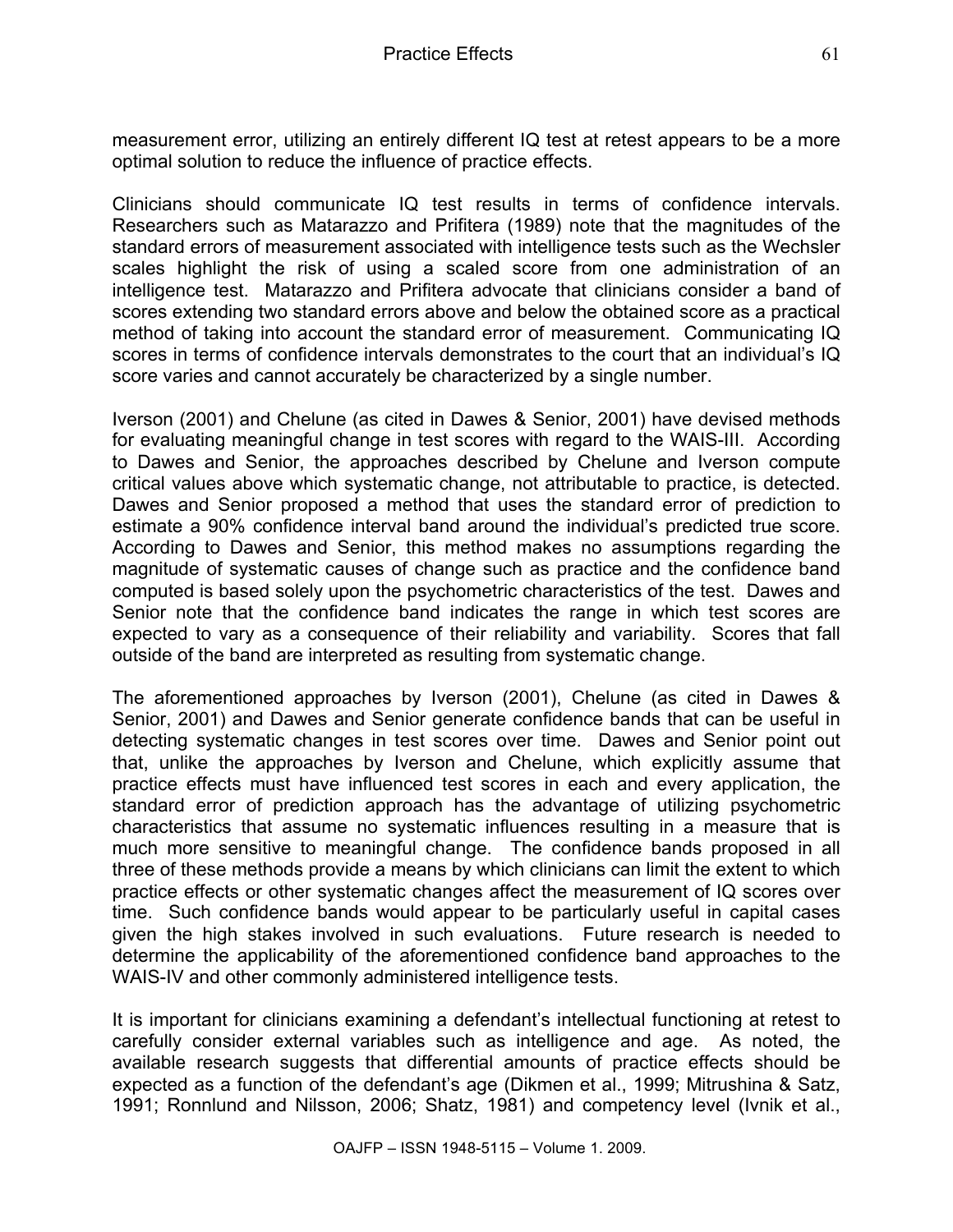measurement error, utilizing an entirely different IQ test at retest appears to be a more optimal solution to reduce the influence of practice effects.

Clinicians should communicate IQ test results in terms of confidence intervals. Researchers such as Matarazzo and Prifitera (1989) note that the magnitudes of the standard errors of measurement associated with intelligence tests such as the Wechsler scales highlight the risk of using a scaled score from one administration of an intelligence test. Matarazzo and Prifitera advocate that clinicians consider a band of scores extending two standard errors above and below the obtained score as a practical method of taking into account the standard error of measurement. Communicating IQ scores in terms of confidence intervals demonstrates to the court that an individual's IQ score varies and cannot accurately be characterized by a single number.

Iverson (2001) and Chelune (as cited in Dawes & Senior, 2001) have devised methods for evaluating meaningful change in test scores with regard to the WAIS-III. According to Dawes and Senior, the approaches described by Chelune and Iverson compute critical values above which systematic change, not attributable to practice, is detected. Dawes and Senior proposed a method that uses the standard error of prediction to estimate a 90% confidence interval band around the individual's predicted true score. According to Dawes and Senior, this method makes no assumptions regarding the magnitude of systematic causes of change such as practice and the confidence band computed is based solely upon the psychometric characteristics of the test. Dawes and Senior note that the confidence band indicates the range in which test scores are expected to vary as a consequence of their reliability and variability. Scores that fall outside of the band are interpreted as resulting from systematic change.

The aforementioned approaches by Iverson (2001), Chelune (as cited in Dawes & Senior, 2001) and Dawes and Senior generate confidence bands that can be useful in detecting systematic changes in test scores over time. Dawes and Senior point out that, unlike the approaches by Iverson and Chelune, which explicitly assume that practice effects must have influenced test scores in each and every application, the standard error of prediction approach has the advantage of utilizing psychometric characteristics that assume no systematic influences resulting in a measure that is much more sensitive to meaningful change. The confidence bands proposed in all three of these methods provide a means by which clinicians can limit the extent to which practice effects or other systematic changes affect the measurement of IQ scores over time. Such confidence bands would appear to be particularly useful in capital cases given the high stakes involved in such evaluations. Future research is needed to determine the applicability of the aforementioned confidence band approaches to the WAIS-IV and other commonly administered intelligence tests.

It is important for clinicians examining a defendant's intellectual functioning at retest to carefully consider external variables such as intelligence and age. As noted, the available research suggests that differential amounts of practice effects should be expected as a function of the defendant's age (Dikmen et al., 1999; Mitrushina & Satz, 1991; Ronnlund and Nilsson, 2006; Shatz, 1981) and competency level (Ivnik et al.,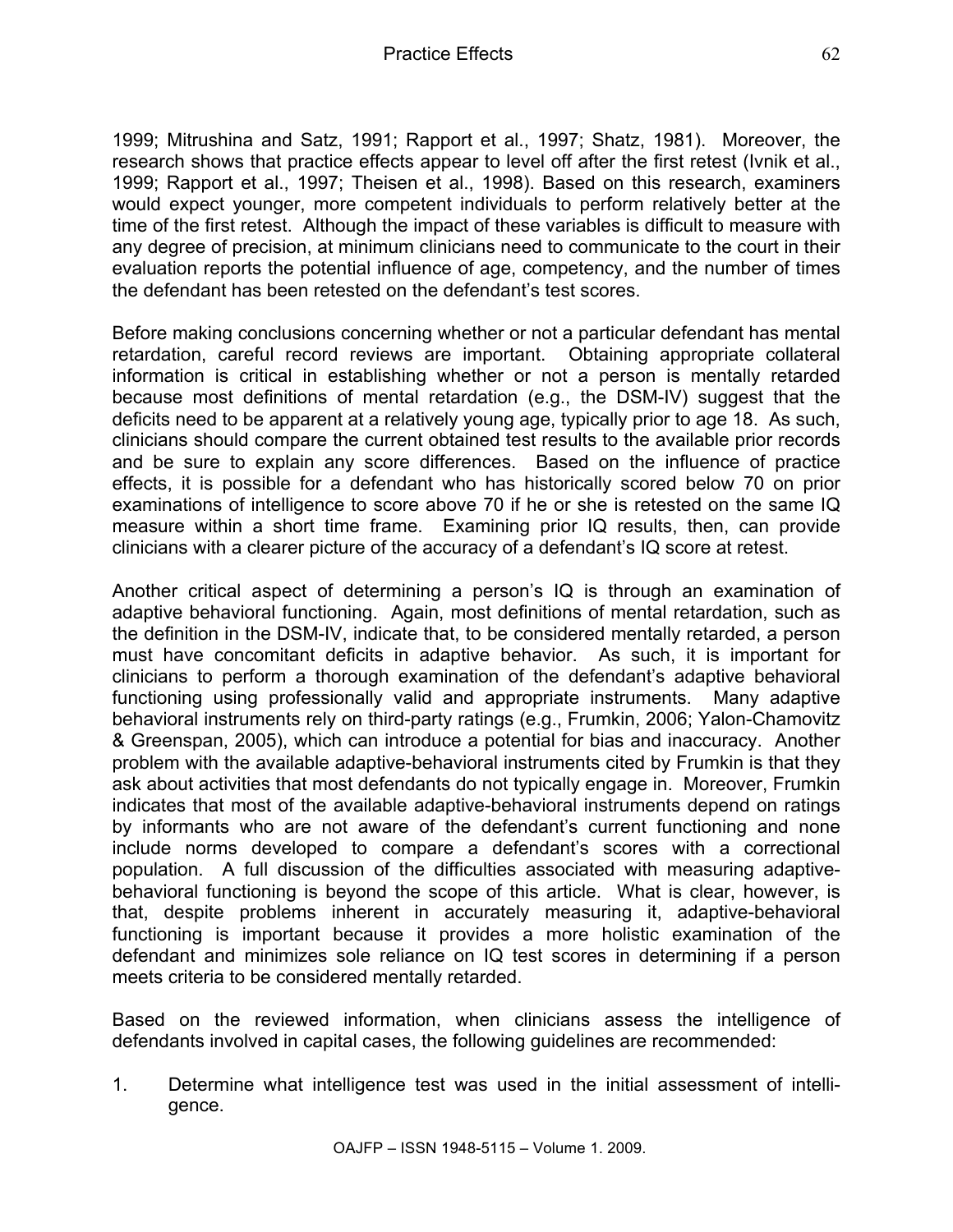1999; Mitrushina and Satz, 1991; Rapport et al., 1997; Shatz, 1981). Moreover, the research shows that practice effects appear to level off after the first retest (Ivnik et al., 1999; Rapport et al., 1997; Theisen et al., 1998). Based on this research, examiners would expect younger, more competent individuals to perform relatively better at the time of the first retest. Although the impact of these variables is difficult to measure with any degree of precision, at minimum clinicians need to communicate to the court in their evaluation reports the potential influence of age, competency, and the number of times the defendant has been retested on the defendant's test scores.

Before making conclusions concerning whether or not a particular defendant has mental retardation, careful record reviews are important. Obtaining appropriate collateral information is critical in establishing whether or not a person is mentally retarded because most definitions of mental retardation (e.g., the DSM-IV) suggest that the deficits need to be apparent at a relatively young age, typically prior to age 18. As such, clinicians should compare the current obtained test results to the available prior records and be sure to explain any score differences. Based on the influence of practice effects, it is possible for a defendant who has historically scored below 70 on prior examinations of intelligence to score above 70 if he or she is retested on the same IQ measure within a short time frame. Examining prior IQ results, then, can provide clinicians with a clearer picture of the accuracy of a defendant's IQ score at retest.

Another critical aspect of determining a person's IQ is through an examination of adaptive behavioral functioning. Again, most definitions of mental retardation, such as the definition in the DSM-IV, indicate that, to be considered mentally retarded, a person must have concomitant deficits in adaptive behavior. As such, it is important for clinicians to perform a thorough examination of the defendant's adaptive behavioral functioning using professionally valid and appropriate instruments. Many adaptive behavioral instruments rely on third-party ratings (e.g., Frumkin, 2006; Yalon-Chamovitz & Greenspan, 2005), which can introduce a potential for bias and inaccuracy. Another problem with the available adaptive-behavioral instruments cited by Frumkin is that they ask about activities that most defendants do not typically engage in. Moreover, Frumkin indicates that most of the available adaptive-behavioral instruments depend on ratings by informants who are not aware of the defendant's current functioning and none include norms developed to compare a defendant's scores with a correctional population. A full discussion of the difficulties associated with measuring adaptivebehavioral functioning is beyond the scope of this article. What is clear, however, is that, despite problems inherent in accurately measuring it, adaptive-behavioral functioning is important because it provides a more holistic examination of the defendant and minimizes sole reliance on IQ test scores in determining if a person meets criteria to be considered mentally retarded.

Based on the reviewed information, when clinicians assess the intelligence of defendants involved in capital cases, the following guidelines are recommended:

1. Determine what intelligence test was used in the initial assessment of intelligence.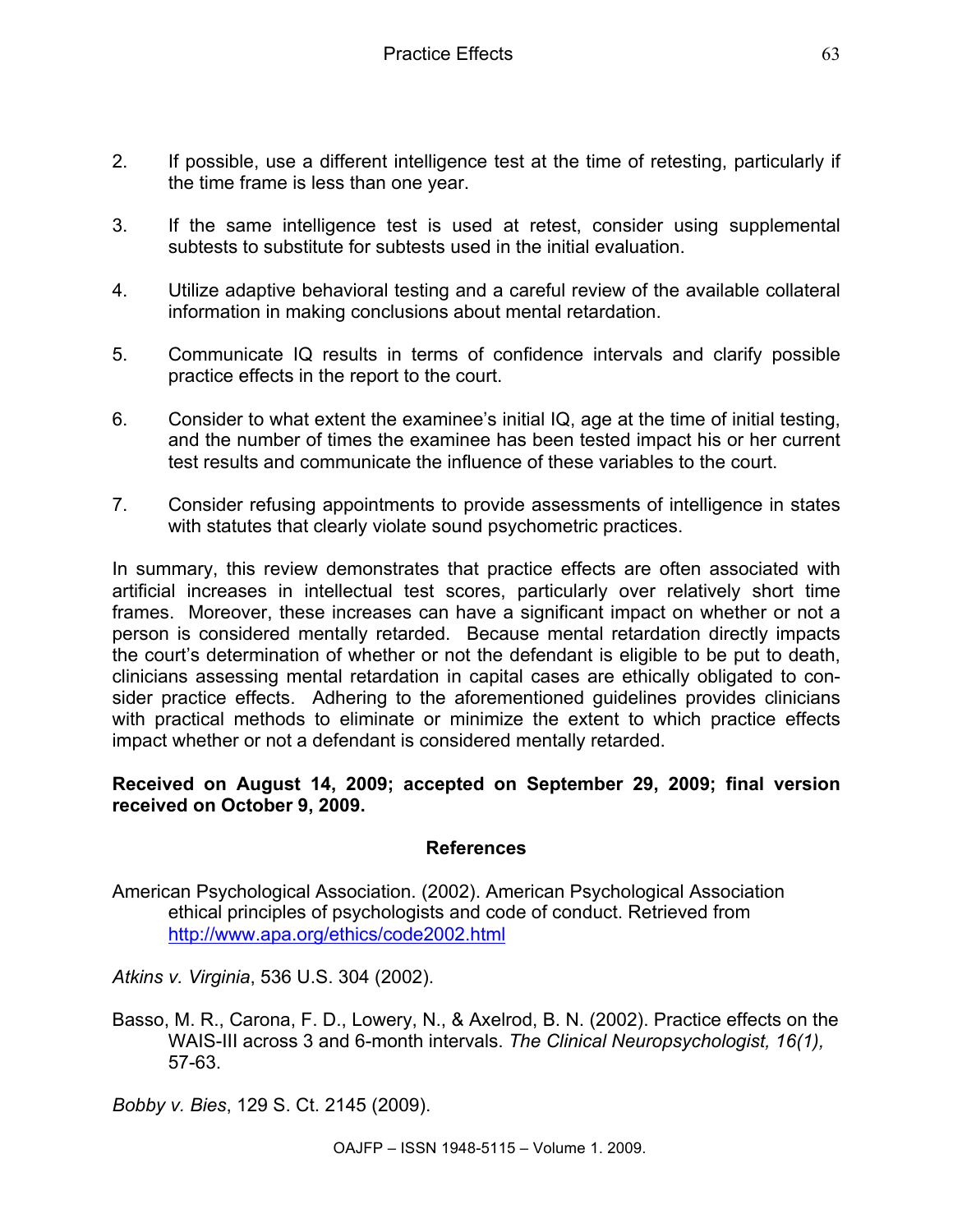- 2. If possible, use a different intelligence test at the time of retesting, particularly if the time frame is less than one year.
- 3. If the same intelligence test is used at retest, consider using supplemental subtests to substitute for subtests used in the initial evaluation.
- 4. Utilize adaptive behavioral testing and a careful review of the available collateral information in making conclusions about mental retardation.
- 5. Communicate IQ results in terms of confidence intervals and clarify possible practice effects in the report to the court.
- 6. Consider to what extent the examinee's initial IQ, age at the time of initial testing, and the number of times the examinee has been tested impact his or her current test results and communicate the influence of these variables to the court.
- 7. Consider refusing appointments to provide assessments of intelligence in states with statutes that clearly violate sound psychometric practices.

In summary, this review demonstrates that practice effects are often associated with artificial increases in intellectual test scores, particularly over relatively short time frames. Moreover, these increases can have a significant impact on whether or not a person is considered mentally retarded. Because mental retardation directly impacts the court's determination of whether or not the defendant is eligible to be put to death, clinicians assessing mental retardation in capital cases are ethically obligated to consider practice effects. Adhering to the aforementioned guidelines provides clinicians with practical methods to eliminate or minimize the extent to which practice effects impact whether or not a defendant is considered mentally retarded.

#### **Received on August 14, 2009; accepted on September 29, 2009; final version received on October 9, 2009.**

#### **References**

American Psychological Association. (2002). American Psychological Association ethical principles of psychologists and code of conduct. Retrieved from http://www.apa.org/ethics/code2002.html

*Atkins v. Virginia*, 536 U.S. 304 (2002).

Basso, M. R., Carona, F. D., Lowery, N., & Axelrod, B. N. (2002). Practice effects on the WAIS-III across 3 and 6-month intervals. *The Clinical Neuropsychologist, 16(1),*  57-63.

*Bobby v. Bies*, 129 S. Ct. 2145 (2009).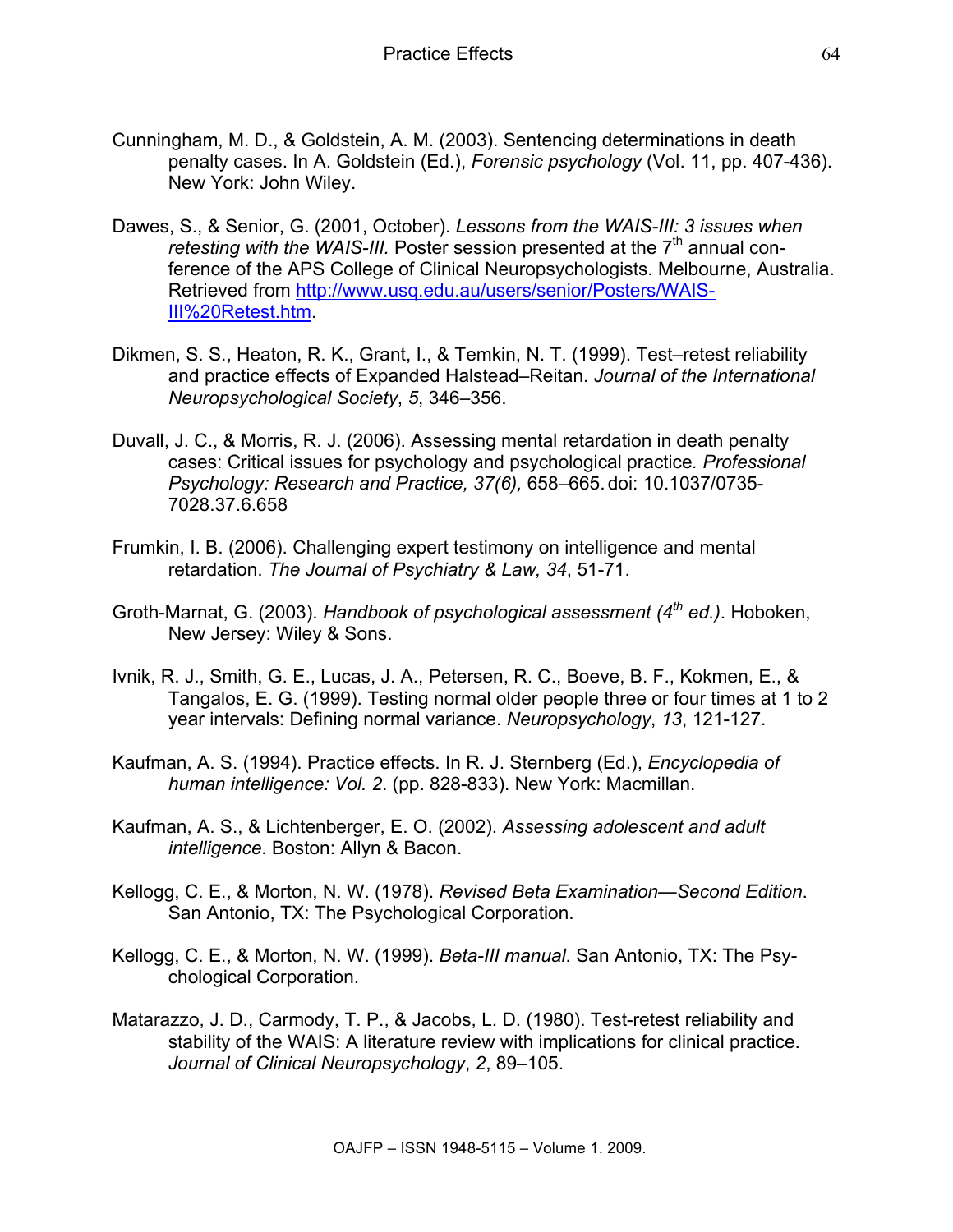- Cunningham, M. D., & Goldstein, A. M. (2003). Sentencing determinations in death penalty cases. In A. Goldstein (Ed.), *Forensic psychology* (Vol. 11, pp. 407-436). New York: John Wiley.
- Dawes, S., & Senior, G. (2001, October). *Lessons from the WAIS-III: 3 issues when retesting with the WAIS-III.* Poster session presented at the 7<sup>th</sup> annual conference of the APS College of Clinical Neuropsychologists. Melbourne, Australia. Retrieved from http://www.usq.edu.au/users/senior/Posters/WAIS-III%20Retest.htm.
- Dikmen, S. S., Heaton, R. K., Grant, I., & Temkin, N. T. (1999). Test–retest reliability and practice effects of Expanded Halstead–Reitan. *Journal of the International Neuropsychological Society*, *5*, 346–356.
- Duvall, J. C., & Morris, R. J. (2006). Assessing mental retardation in death penalty cases: Critical issues for psychology and psychological practice*. Professional Psychology: Research and Practice, 37(6),* 658–665.doi: 10.1037/0735- 7028.37.6.658
- Frumkin, I. B. (2006). Challenging expert testimony on intelligence and mental retardation. *The Journal of Psychiatry & Law, 34*, 51-71.
- Groth-Marnat, G. (2003). *Handbook of psychological assessment (4th ed.)*. Hoboken, New Jersey: Wiley & Sons.
- Ivnik, R. J., Smith, G. E., Lucas, J. A., Petersen, R. C., Boeve, B. F., Kokmen, E., & Tangalos, E. G. (1999). Testing normal older people three or four times at 1 to 2 year intervals: Defining normal variance. *Neuropsychology*, *13*, 121-127.
- Kaufman, A. S. (1994). Practice effects. In R. J. Sternberg (Ed.), *Encyclopedia of human intelligence: Vol. 2*. (pp. 828-833). New York: Macmillan.
- Kaufman, A. S., & Lichtenberger, E. O. (2002). *Assessing adolescent and adult intelligence*. Boston: Allyn & Bacon.
- Kellogg, C. E., & Morton, N. W. (1978). *Revised Beta Examination—Second Edition*. San Antonio, TX: The Psychological Corporation.
- Kellogg, C. E., & Morton, N. W. (1999). *Beta-III manual*. San Antonio, TX: The Psychological Corporation.
- Matarazzo, J. D., Carmody, T. P., & Jacobs, L. D. (1980). Test-retest reliability and stability of the WAIS: A literature review with implications for clinical practice. *Journal of Clinical Neuropsychology*, *2*, 89–105.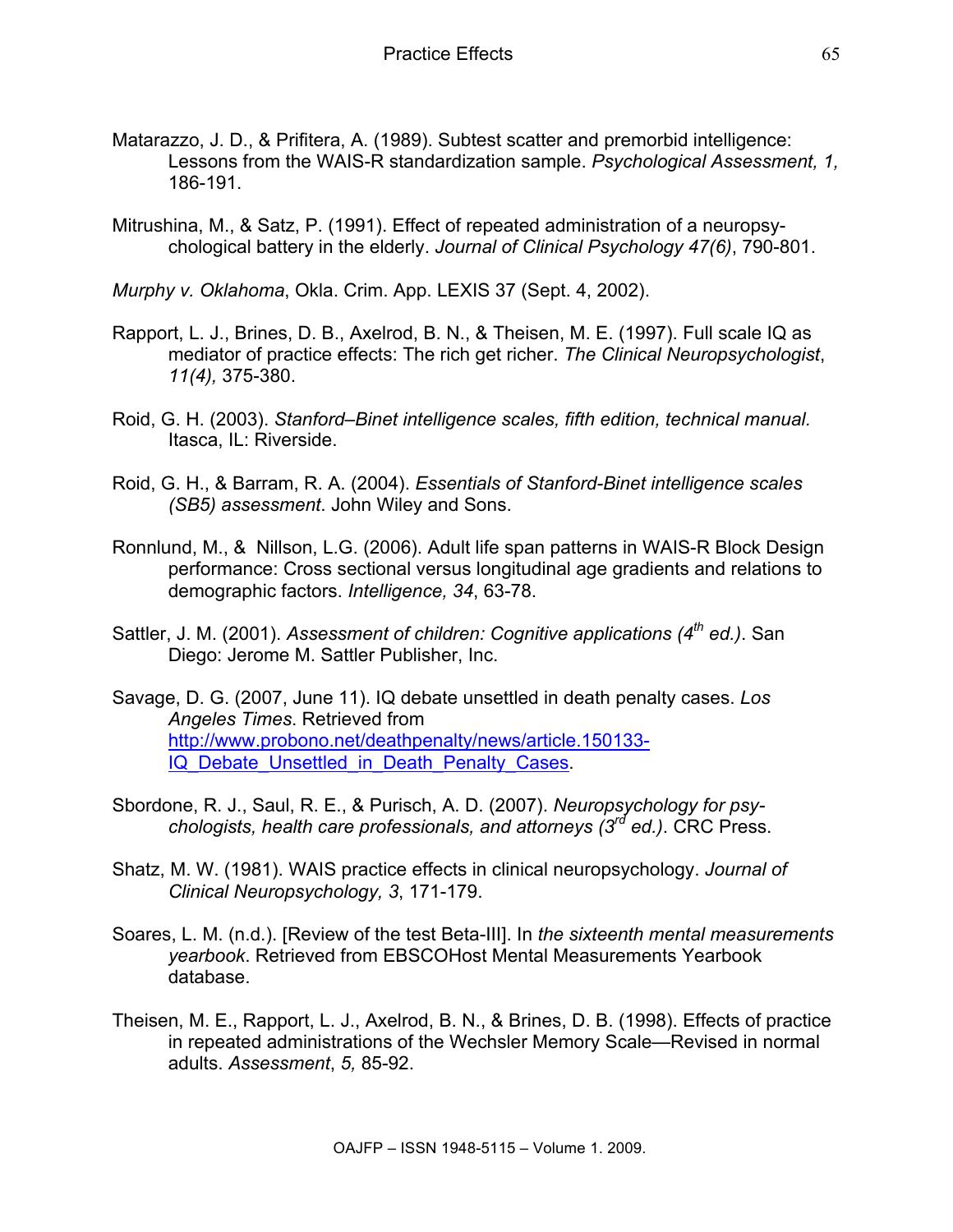- Matarazzo, J. D., & Prifitera, A. (1989). Subtest scatter and premorbid intelligence: Lessons from the WAIS-R standardization sample. *Psychological Assessment, 1,* 186-191.
- Mitrushina, M., & Satz, P. (1991). Effect of repeated administration of a neuropsychological battery in the elderly. *Journal of Clinical Psychology 47(6)*, 790-801.

*Murphy v. Oklahoma*, Okla. Crim. App. LEXIS 37 (Sept. 4, 2002).

- Rapport, L. J., Brines, D. B., Axelrod, B. N., & Theisen, M. E. (1997). Full scale IQ as mediator of practice effects: The rich get richer. *The Clinical Neuropsychologist*, *11(4),* 375-380.
- Roid, G. H. (2003). *Stanford–Binet intelligence scales, fifth edition, technical manual.* Itasca, IL: Riverside.
- Roid, G. H., & Barram, R. A. (2004). *Essentials of Stanford-Binet intelligence scales (SB5) assessment*. John Wiley and Sons.
- Ronnlund, M., & Nillson, L.G. (2006). Adult life span patterns in WAIS-R Block Design performance: Cross sectional versus longitudinal age gradients and relations to demographic factors. *Intelligence, 34*, 63-78.
- Sattler, J. M. (2001). Assessment of children: Cognitive applications (4<sup>th</sup> ed.). San Diego: Jerome M. Sattler Publisher, Inc.
- Savage, D. G. (2007, June 11). IQ debate unsettled in death penalty cases. *Los Angeles Times*. Retrieved from http://www.probono.net/deathpenalty/news/article.150133- IQ Debate Unsettled in Death Penalty Cases.
- Sbordone, R. J., Saul, R. E., & Purisch, A. D. (2007). *Neuropsychology for psychologists, health care professionals, and attorneys (3rd ed.)*. CRC Press.
- Shatz, M. W. (1981). WAIS practice effects in clinical neuropsychology. *Journal of Clinical Neuropsychology, 3*, 171-179.
- Soares, L. M. (n.d.). [Review of the test Beta-III]. In *the sixteenth mental measurements yearbook*. Retrieved from EBSCOHost Mental Measurements Yearbook database.
- Theisen, M. E., Rapport, L. J., Axelrod, B. N., & Brines, D. B. (1998). Effects of practice in repeated administrations of the Wechsler Memory Scale—Revised in normal adults. *Assessment*, *5,* 85-92.